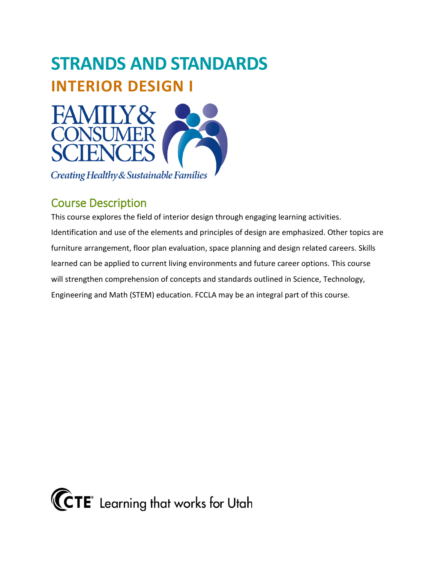

Creating Healthy & Sustainable Families

# Course Description

This course explores the field of interior design through engaging learning activities. Identification and use of the elements and principles of design are emphasized. Other topics are furniture arrangement, floor plan evaluation, space planning and design related careers. Skills learned can be applied to current living environments and future career options. This course will strengthen comprehension of concepts and standards outlined in Science, Technology, Engineering and Math (STEM) education. FCCLA may be an integral part of this course.

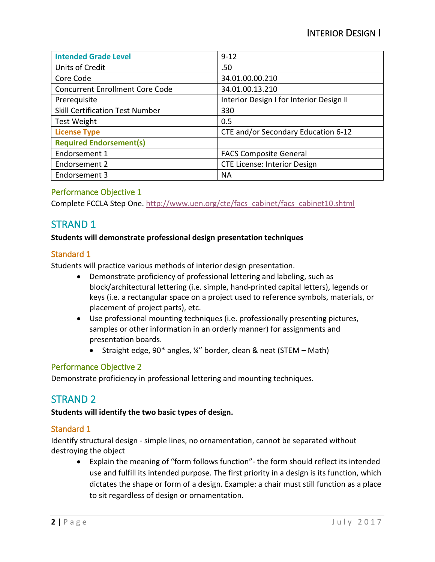| <b>Intended Grade Level</b>            | $9 - 12$                                 |
|----------------------------------------|------------------------------------------|
| Units of Credit                        | .50                                      |
| Core Code                              | 34.01.00.00.210                          |
| <b>Concurrent Enrollment Core Code</b> | 34.01.00.13.210                          |
| Prerequisite                           | Interior Design I for Interior Design II |
| <b>Skill Certification Test Number</b> | 330                                      |
| Test Weight                            | 0.5                                      |
| <b>License Type</b>                    | CTE and/or Secondary Education 6-12      |
| <b>Required Endorsement(s)</b>         |                                          |
| Endorsement 1                          | <b>FACS Composite General</b>            |
| Endorsement 2                          | <b>CTE License: Interior Design</b>      |
| Endorsement 3                          | <b>NA</b>                                |

Complete FCCLA Step One. [http://www.uen.org/cte/facs\\_cabinet/facs\\_cabinet10.shtml](http://www.uen.org/cte/facs_cabinet/facs_cabinet10.shtml)

# STRAND 1

#### **Students will demonstrate professional design presentation techniques**

#### Standard 1

Students will practice various methods of interior design presentation.

- Demonstrate proficiency of professional lettering and labeling, such as block/architectural lettering (i.e. simple, hand-printed capital letters), legends or keys (i.e. a rectangular space on a project used to reference symbols, materials, or placement of project parts), etc.
- Use professional mounting techniques (i.e. professionally presenting pictures, samples or other information in an orderly manner) for assignments and presentation boards.
	- Straight edge, 90\* angles, ¼" border, clean & neat (STEM Math)

#### Performance Objective 2

Demonstrate proficiency in professional lettering and mounting techniques.

# STRAND 2

#### **Students will identify the two basic types of design.**

#### Standard 1

Identify structural design - simple lines, no ornamentation, cannot be separated without destroying the object

• Explain the meaning of "form follows function"- the form should reflect its intended use and fulfill its intended purpose. The first priority in a design is its function, which dictates the shape or form of a design. Example: a chair must still function as a place to sit regardless of design or ornamentation.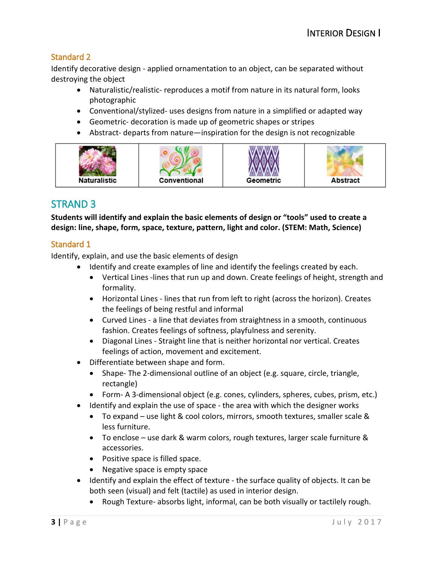## Standard 2

Identify decorative design - applied ornamentation to an object, can be separated without destroying the object

- Naturalistic/realistic- reproduces a motif from nature in its natural form, looks photographic
- Conventional/stylized- uses designs from nature in a simplified or adapted way
- Geometric- decoration is made up of geometric shapes or stripes
- Abstract- departs from nature—inspiration for the design is not recognizable



# STRAND 3

**Students will identify and explain the basic elements of design or "tools" used to create a design: line, shape, form, space, texture, pattern, light and color. (STEM: Math, Science)**

## Standard 1

Identify, explain, and use the basic elements of design

- Identify and create examples of line and identify the feelings created by each.
	- Vertical Lines -lines that run up and down. Create feelings of height, strength and formality.
	- Horizontal Lines lines that run from left to right (across the horizon). Creates the feelings of being restful and informal
	- Curved Lines a line that deviates from straightness in a smooth, continuous fashion. Creates feelings of softness, playfulness and serenity.
	- Diagonal Lines Straight line that is neither horizontal nor vertical. Creates feelings of action, movement and excitement.
- Differentiate between shape and form.
	- Shape- The 2-dimensional outline of an object (e.g. square, circle, triangle, rectangle)
	- Form- A 3-dimensional object (e.g. cones, cylinders, spheres, cubes, prism, etc.)
- Identify and explain the use of space the area with which the designer works
	- To expand use light & cool colors, mirrors, smooth textures, smaller scale & less furniture.
	- To enclose use dark & warm colors, rough textures, larger scale furniture & accessories.
	- Positive space is filled space.
	- Negative space is empty space
- Identify and explain the effect of texture the surface quality of objects. It can be both seen (visual) and felt (tactile) as used in interior design.
	- Rough Texture- absorbs light, informal, can be both visually or tactilely rough.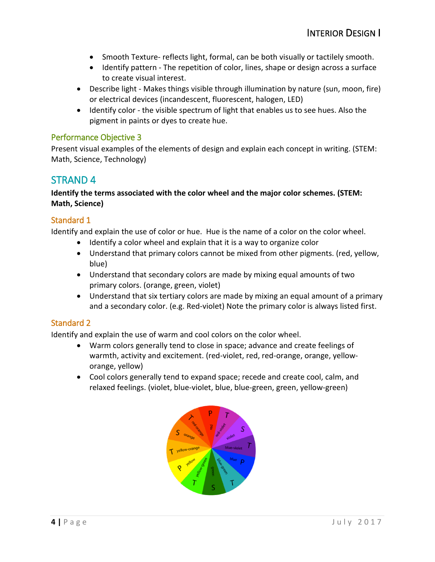- Smooth Texture- reflects light, formal, can be both visually or tactilely smooth.
- Identify pattern The repetition of color, lines, shape or design across a surface to create visual interest.
- Describe light Makes things visible through illumination by nature (sun, moon, fire) or electrical devices (incandescent, fluorescent, halogen, LED)
- Identify color the visible spectrum of light that enables us to see hues. Also the pigment in paints or dyes to create hue.

Present visual examples of the elements of design and explain each concept in writing. (STEM: Math, Science, Technology)

# STRAND 4

#### **Identify the terms associated with the color wheel and the major color schemes. (STEM: Math, Science)**

#### Standard 1

Identify and explain the use of color or hue. Hue is the name of a color on the color wheel.

- Identify a color wheel and explain that it is a way to organize color
- Understand that primary colors cannot be mixed from other pigments. (red, yellow, blue)
- Understand that secondary colors are made by mixing equal amounts of two primary colors. (orange, green, violet)
- Understand that six tertiary colors are made by mixing an equal amount of a primary and a secondary color. (e.g. Red-violet) Note the primary color is always listed first.

### Standard 2

Identify and explain the use of warm and cool colors on the color wheel.

- Warm colors generally tend to close in space; advance and create feelings of warmth, activity and excitement. (red-violet, red, red-orange, orange, yelloworange, yellow)
- Cool colors generally tend to expand space; recede and create cool, calm, and relaxed feelings. (violet, blue-violet, blue, blue-green, green, yellow-green)

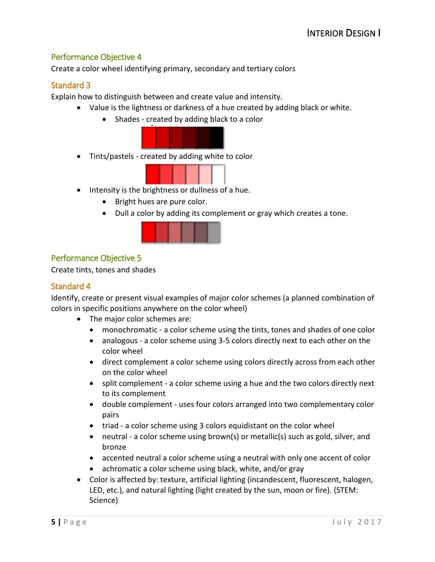Create a color wheel identifying primary, secondary and tertiary colors

#### Standard 3

Explain how to distinguish between and create value and intensity.

- Value is the lightness or darkness of a hue created by adding black or white.
	- Shades created by adding black to a color



• Tints/pastels - created by adding white to color



- Intensity is the brightness or dullness of a hue.
	- Bright hues are pure color.
	- Dull a color by adding its complement or gray which creates a tone.



### Performance Objective 5

Create tints, tones and shades

#### Standard 4

Identify, create or present visual examples of major color schemes (a planned combination of colors in specific positions anywhere on the color wheel)

- The major color schemes are:
	- monochromatic a color scheme using the tints, tones and shades of one color
	- analogous a color scheme using 3-5 colors directly next to each other on the color wheel
	- direct complement a color scheme using colors directly across from each other on the color wheel
	- split complement a color scheme using a hue and the two colors directly next to its complement
	- double complement uses four colors arranged into two complementary color pairs
	- triad a color scheme using 3 colors equidistant on the color wheel
	- neutral a color scheme using brown(s) or metallic(s) such as gold, silver, and bronze
	- accented neutral a color scheme using a neutral with only one accent of color
	- achromatic a color scheme using black, white, and/or gray
- Color is affected by: texture, artificial lighting (incandescent, fluorescent, halogen, LED, etc.), and natural lighting (light created by the sun, moon or fire). (STEM: Science)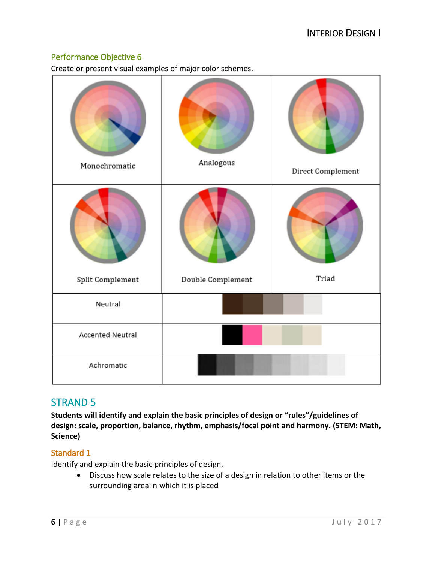Create or present visual examples of major color schemes.

| Monochromatic    | Analogous         | Direct Complement |
|------------------|-------------------|-------------------|
| Split Complement | Double Complement | Triad             |
| Neutral          |                   |                   |
| Accented Neutral |                   |                   |
| Achromatic       |                   |                   |

# STRAND 5

**Students will identify and explain the basic principles of design or "rules"/guidelines of design: scale, proportion, balance, rhythm, emphasis/focal point and harmony. (STEM: Math, Science)**

# Standard 1

Identify and explain the basic principles of design.

• Discuss how scale relates to the size of a design in relation to other items or the surrounding area in which it is placed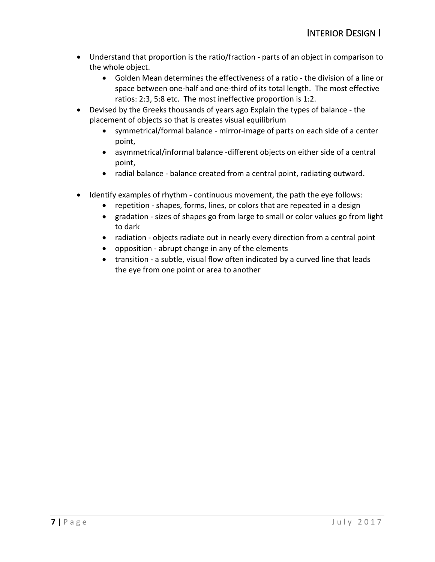- Understand that proportion is the ratio/fraction parts of an object in comparison to the whole object.
	- Golden Mean determines the effectiveness of a ratio the division of a line or space between one-half and one-third of its total length. The most effective ratios: 2:3, 5:8 etc. The most ineffective proportion is 1:2.
- Devised by the Greeks thousands of years ago Explain the types of balance the placement of objects so that is creates visual equilibrium
	- symmetrical/formal balance mirror-image of parts on each side of a center point,
	- asymmetrical/informal balance -different objects on either side of a central point,
	- radial balance balance created from a central point, radiating outward.
- Identify examples of rhythm continuous movement, the path the eye follows:
	- repetition shapes, forms, lines, or colors that are repeated in a design
	- gradation sizes of shapes go from large to small or color values go from light to dark
	- radiation objects radiate out in nearly every direction from a central point
	- opposition abrupt change in any of the elements
	- transition a subtle, visual flow often indicated by a curved line that leads the eye from one point or area to another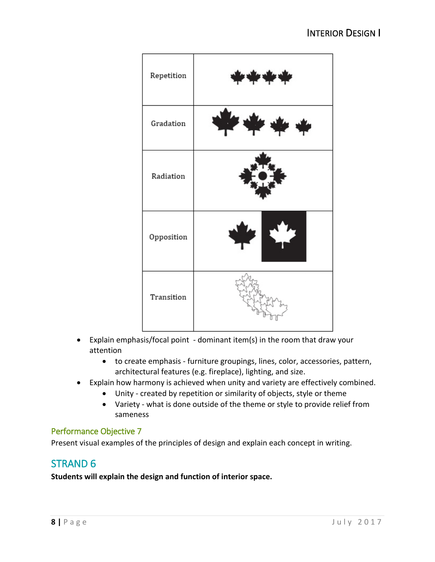

- Explain emphasis/focal point dominant item(s) in the room that draw your attention
	- to create emphasis furniture groupings, lines, color, accessories, pattern, architectural features (e.g. fireplace), lighting, and size.
- Explain how harmony is achieved when unity and variety are effectively combined.
	- Unity created by repetition or similarity of objects, style or theme
	- Variety what is done outside of the theme or style to provide relief from sameness

Present visual examples of the principles of design and explain each concept in writing.

# STRAND 6

**Students will explain the design and function of interior space.**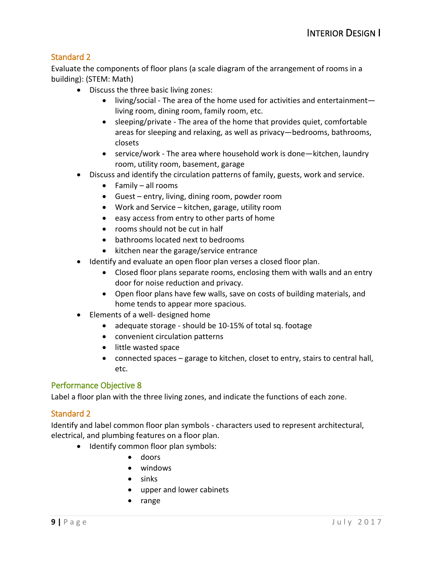### Standard 2

Evaluate the components of floor plans (a scale diagram of the arrangement of rooms in a building): (STEM: Math)

- Discuss the three basic living zones:
	- living/social The area of the home used for activities and entertainment living room, dining room, family room, etc.
	- sleeping/private The area of the home that provides quiet, comfortable areas for sleeping and relaxing, as well as privacy—bedrooms, bathrooms, closets
	- service/work The area where household work is done—kitchen, laundry room, utility room, basement, garage
- Discuss and identify the circulation patterns of family, guests, work and service.
	- Family all rooms
	- Guest entry, living, dining room, powder room
	- Work and Service kitchen, garage, utility room
	- easy access from entry to other parts of home
	- rooms should not be cut in half
	- bathrooms located next to bedrooms
	- kitchen near the garage/service entrance
- Identify and evaluate an open floor plan verses a closed floor plan.
	- Closed floor plans separate rooms, enclosing them with walls and an entry door for noise reduction and privacy.
	- Open floor plans have few walls, save on costs of building materials, and home tends to appear more spacious.
- Elements of a well- designed home
	- adequate storage should be 10-15% of total sq. footage
	- convenient circulation patterns
	- little wasted space
	- connected spaces garage to kitchen, closet to entry, stairs to central hall, etc.

#### Performance Objective 8

Label a floor plan with the three living zones, and indicate the functions of each zone.

#### Standard 2

Identify and label common floor plan symbols - characters used to represent architectural, electrical, and plumbing features on a floor plan.

- Identify common floor plan symbols:
	- doors
	- windows
	- sinks
	- upper and lower cabinets
	- range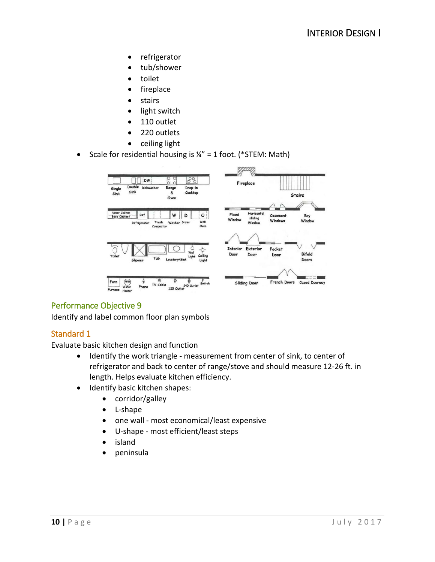- refrigerator
- tub/shower
- toilet
- fireplace
- **stairs**
- light switch
- 110 outlet
- 220 outlets
- ceiling light
- Scale for residential housing is  $\frac{1}{4}$ " = 1 foot. (\*STEM: Math)



Identify and label common floor plan symbols

### Standard 1

Evaluate basic kitchen design and function

- Identify the work triangle measurement from center of sink, to center of refrigerator and back to center of range/stove and should measure 12-26 ft. in length. Helps evaluate kitchen efficiency.
- Identify basic kitchen shapes:
	- corridor/galley
	- L-shape
	- one wall most economical/least expensive
	- U-shape most efficient/least steps
	- island
	- peninsula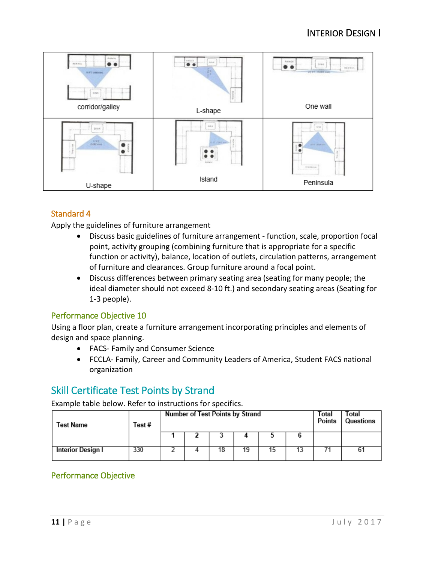

# Standard 4

Apply the guidelines of furniture arrangement

- Discuss basic guidelines of furniture arrangement function, scale, proportion focal point, activity grouping (combining furniture that is appropriate for a specific function or activity), balance, location of outlets, circulation patterns, arrangement of furniture and clearances. Group furniture around a focal point.
- Discuss differences between primary seating area (seating for many people; the ideal diameter should not exceed 8-10 ft.) and secondary seating areas (Seating for 1-3 people).

### Performance Objective 10

Using a floor plan, create a furniture arrangement incorporating principles and elements of design and space planning.

- FACS- Family and Consumer Science
- FCCLA- Family, Career and Community Leaders of America, Student FACS national organization

# Skill Certificate Test Points by Strand

Example table below. Refer to instructions for specifics.

| Test Name                | Test# | <b>Number of Test Points by Strand</b> |  |    |    |    |  | Total<br>Points | Total<br>Questions |
|--------------------------|-------|----------------------------------------|--|----|----|----|--|-----------------|--------------------|
|                          |       |                                        |  |    |    |    |  |                 |                    |
| <b>Interior Design I</b> | 330   |                                        |  | 18 | 19 | 15 |  |                 | 61                 |

# Performance Objective